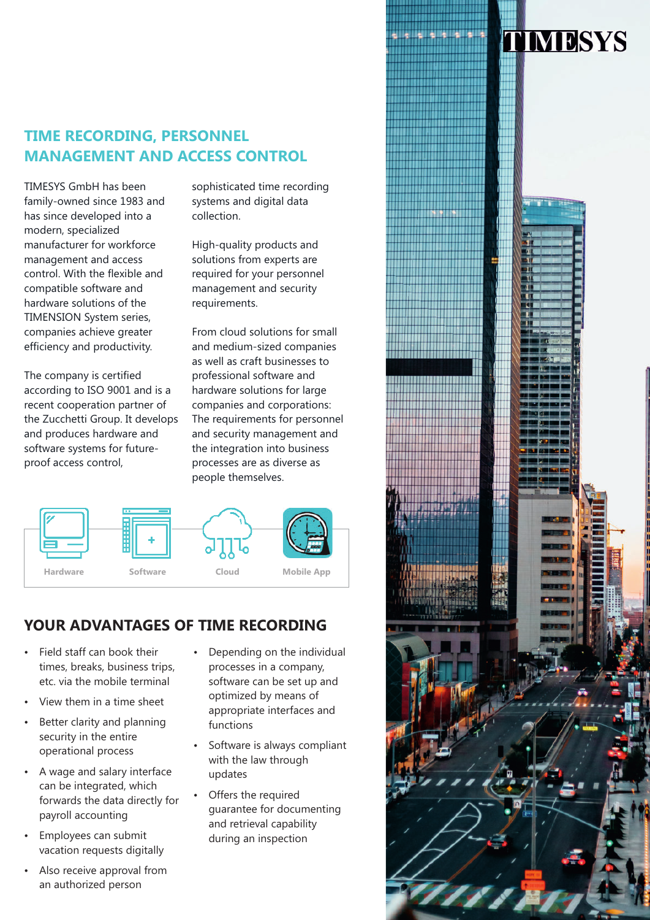## **TIME RECORDING, PERSONNEL MANAGEMENT AND ACCESS CONTROL**

TIMESYS GmbH has been family-owned since 1983 and has since developed into a modern, specialized manufacturer for workforce management and access control. With the flexible and compatible software and hardware solutions of the TIMENSION System series, companies achieve greater efficiency and productivity.

The company is certified according to ISO 9001 and is a recent cooperation partner of the Zucchetti Group. It develops and produces hardware and software systems for futureproof access control,

sophisticated time recording systems and digital data collection.

High-quality products and solutions from experts are required for your personnel management and security requirements.

From cloud solutions for small and medium-sized companies as well as craft businesses to professional software and hardware solutions for large companies and corporations: The requirements for personnel and security management and the integration into business processes are as diverse as people themselves.



### **YOUR ADVANTAGES OF TIME RECORDING**

- Field staff can book their times, breaks, business trips, etc. via the mobile terminal
- View them in a time sheet
- Better clarity and planning security in the entire operational process
- A wage and salary interface can be integrated, which forwards the data directly for payroll accounting
- Employees can submit vacation requests digitally
- Also receive approval from an authorized person
- Depending on the individual processes in a company, software can be set up and optimized by means of appropriate interfaces and functions
- Software is always compliant with the law through updates
- Offers the required guarantee for documenting and retrieval capability during an inspection